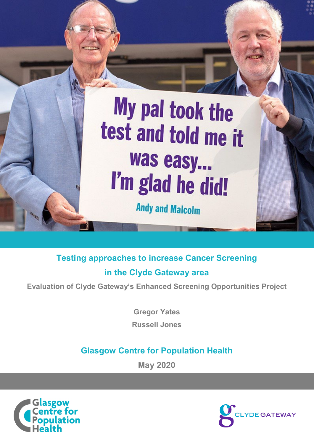# My pal took the test and told me it was easy... I'm glad he did!

**Andy and Malcolm** 

**Testing approaches to increase Cancer Screening in the Clyde Gateway area** 

**Evaluation of Clyde Gateway's Enhanced Screening Opportunities Project**

**Gregor Yates**

**Russell Jones**

# **Glasgow Centre for Population Health**

**May 2020**



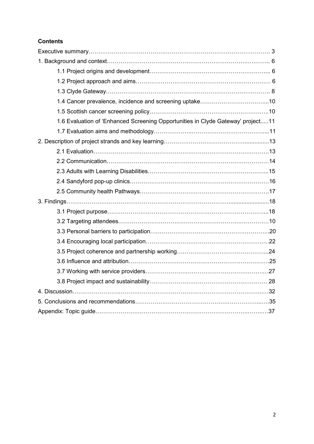# **Contents**

| 1.6 Evaluation of 'Enhanced Screening Opportunities in Clyde Gateway' project11 |
|---------------------------------------------------------------------------------|
|                                                                                 |
|                                                                                 |
|                                                                                 |
|                                                                                 |
|                                                                                 |
|                                                                                 |
|                                                                                 |
|                                                                                 |
|                                                                                 |
|                                                                                 |
|                                                                                 |
|                                                                                 |
|                                                                                 |
|                                                                                 |
|                                                                                 |
|                                                                                 |
|                                                                                 |
|                                                                                 |
|                                                                                 |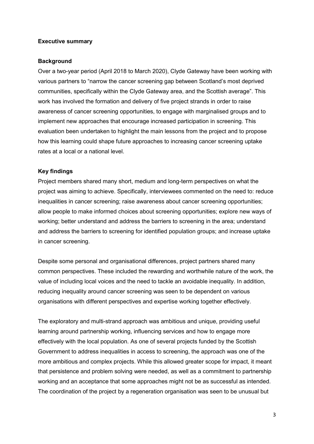#### **Executive summary**

#### <span id="page-2-0"></span>**Background**

<span id="page-2-4"></span><span id="page-2-3"></span><span id="page-2-2"></span><span id="page-2-1"></span>Over a two-year period (April 2018 to March 2020), Clyde Gateway have been working with various partners to "narrow the cancer screening gap between Scotland's most deprived communities, specifically within the Clyde Gateway area, and the Scottish average". This work has involved the formation and delivery of five project strands in order to raise awareness of cancer screening opportunities, to engage with marginalised groups and to implement new approaches that encourage increased participation in screening. This evaluation been undertaken to highlight the main lessons from the project and to propose how this learning could shape future approaches to increasing cancer screening uptake rates at a local or a national level.

# <span id="page-2-6"></span><span id="page-2-5"></span>**Key findings**

<span id="page-2-8"></span><span id="page-2-7"></span>Project members shared many short, medium and long-term perspectives on what the project was aiming to achieve. Specifically, interviewees commented on the need to: reduce inequalities in cancer screening; raise awareness about cancer screening opportunities; allow people to make informed choices about screening opportunities; explore new ways of working; better understand and address the barriers to screening in the area; understand and address the barriers to screening for identified population groups; and increase uptake in cancer screening.

<span id="page-2-12"></span><span id="page-2-11"></span><span id="page-2-10"></span><span id="page-2-9"></span>Despite some personal and organisational differences, project partners shared many common perspectives. These included the rewarding and worthwhile nature of the work, the value of including local voices and the need to tackle an avoidable inequality. In addition, reducing inequality around cancer screening was seen to be dependent on various organisations with different perspectives and expertise working together effectively.

<span id="page-2-14"></span><span id="page-2-13"></span>The exploratory and multi-strand approach was ambitious and unique, providing useful learning around partnership working, influencing services and how to engage more effectively with the local population. As one of several projects funded by the Scottish Government to address inequalities in access to screening, the approach was one of the more ambitious and complex projects. While this allowed greater scope for impact, it meant that persistence and problem solving were needed, as well as a commitment to partnership working and an acceptance that some approaches might not be as successful as intended. The coordination of the project by a regeneration organisation was seen to be unusual but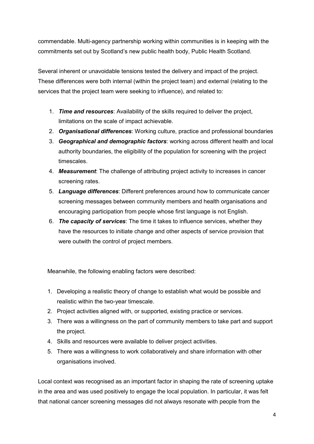commendable. Multi-agency partnership working within communities is in keeping with the commitments set out by Scotland's new public health body, Public Health Scotland.

Several inherent or unavoidable tensions tested the delivery and impact of the project. These differences were both internal (within the project team) and external (relating to the services that the project team were seeking to influence), and related to:

- 1. *Time and resources*: Availability of the skills required to deliver the project, limitations on the scale of impact achievable.
- 2. *Organisational differences*: Working culture, practice and professional boundaries
- 3. *Geographical and demographic factors*: working across different health and local authority boundaries, the eligibility of the population for screening with the project timescales.
- 4. *Measurement*: The challenge of attributing project activity to increases in cancer screening rates.
- 5. *Language differences*: Different preferences around how to communicate cancer screening messages between community members and health organisations and encouraging participation from people whose first language is not English.
- 6. *The capacity of services*: The time it takes to influence services, whether they have the resources to initiate change and other aspects of service provision that were outwith the control of project members.

Meanwhile, the following enabling factors were described:

- 1. Developing a realistic theory of change to establish what would be possible and realistic within the two-year timescale.
- 2. Project activities aligned with, or supported, existing practice or services.
- 3. There was a willingness on the part of community members to take part and support the project.
- 4. Skills and resources were available to deliver project activities.
- 5. There was a willingness to work collaboratively and share information with other organisations involved.

Local context was recognised as an important factor in shaping the rate of screening uptake in the area and was used positively to engage the local population. In particular, it was felt that national cancer screening messages did not always resonate with people from the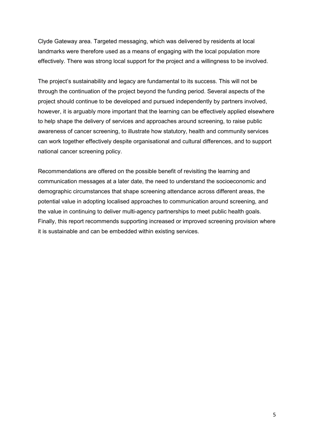Clyde Gateway area. Targeted messaging, which was delivered by residents at local landmarks were therefore used as a means of engaging with the local population more effectively. There was strong local support for the project and a willingness to be involved.

The project's sustainability and legacy are fundamental to its success. This will not be through the continuation of the project beyond the funding period. Several aspects of the project should continue to be developed and pursued independently by partners involved, however, it is arguably more important that the learning can be effectively applied elsewhere to help shape the delivery of services and approaches around screening, to raise public awareness of cancer screening, to illustrate how statutory, health and community services can work together effectively despite organisational and cultural differences, and to support national cancer screening policy.

Recommendations are offered on the possible benefit of revisiting the learning and communication messages at a later date, the need to understand the socioeconomic and demographic circumstances that shape screening attendance across different areas, the potential value in adopting localised approaches to communication around screening, and the value in continuing to deliver multi-agency partnerships to meet public health goals. Finally, this report recommends supporting increased or improved screening provision where it is sustainable and can be embedded within existing services.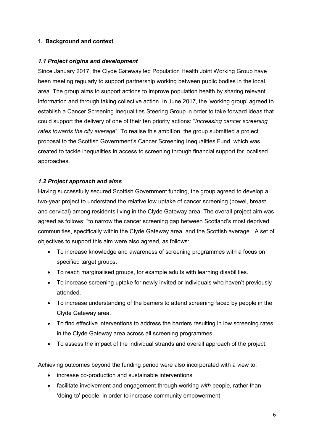# **1. Background and context**

# *1.1 Project origins and development*

Since January 2017, the Clyde Gateway led Population Health Joint Working Group have been meeting regularly to support partnership working between public bodies in the local area. The group aims to support actions to improve population health by sharing relevant information and through taking collective action. In June 2017, the 'working group' agreed to establish a Cancer Screening Inequalities Steering Group in order to take forward ideas that could support the delivery of one of their ten priority actions: "*Increasing cancer screening rates towards the city average*". To realise this ambition, the group submitted a project proposal to the Scottish Government's Cancer Screening Inequalities Fund, which was created to tackle inequalities in access to screening through financial support for localised approaches.

# *1.2 Project approach and aims*

Having successfully secured Scottish Government funding, the group agreed to develop a two-year project to understand the relative low uptake of cancer screening (bowel, breast and cervical) among residents living in the Clyde Gateway area. The overall project aim was agreed as follows: "to narrow the cancer screening gap between Scotland's most deprived communities, specifically within the Clyde Gateway area, and the Scottish average". A set of objectives to support this aim were also agreed, as follows:

- To increase knowledge and awareness of screening programmes with a focus on specified target groups.
- To reach marginalised groups, for example adults with learning disabilities.
- To increase screening uptake for newly invited or individuals who haven't previously attended.
- To increase understanding of the barriers to attend screening faced by people in the Clyde Gateway area.
- To find effective interventions to address the barriers resulting in low screening rates in the Clyde Gateway area across all screening programmes.
- To assess the impact of the individual strands and overall approach of the project.

Achieving outcomes beyond the funding period were also incorporated with a view to:

- increase co-production and sustainable interventions
- facilitate involvement and engagement through working *with* people, rather than 'doing to' people, in order to increase community empowerment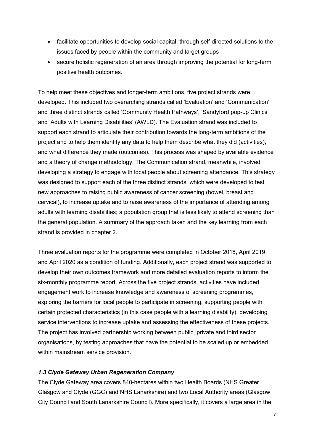- facilitate opportunities to develop social capital, through self-directed solutions to the issues faced by people within the community and target groups
- secure holistic regeneration of an area through improving the potential for long-term positive health outcomes.

To help meet these objectives and longer-term ambitions, five project strands were developed. This included two overarching strands called 'Evaluation' and 'Communication' and three distinct strands called 'Community Health Pathways', 'Sandyford pop-up Clinics' and 'Adults with Learning Disabilities' (AWLD). The Evaluation strand was included to support each strand to articulate their contribution towards the long-term ambitions of the project and to help them identify any data to help them describe what they did (activities), and what difference they made (outcomes). This process was shaped by available evidence and a theory of change methodology. The Communication strand, meanwhile, involved developing a strategy to engage with local people about screening attendance. This strategy was designed to support each of the three distinct strands, which were developed to test new approaches to raising public awareness of cancer screening (bowel, breast and cervical), to increase uptake and to raise awareness of the importance of attending among adults with learning disabilities; a population group that is less likely to attend screening than the general population. A summary of the approach taken and the key learning from each strand is provided in chapter 2.

Three evaluation reports for the programme were completed in October 2018, April 2019 and April 2020 as a condition of funding. Additionally, each project strand was supported to develop their own outcomes framework and more detailed evaluation reports to inform the six-monthly programme report. Across the five project strands, activities have included engagement work to increase knowledge and awareness of screening programmes, exploring the barriers for local people to participate in screening, supporting people with certain protected characteristics (in this case people with a learning disability), developing service interventions to increase uptake and assessing the effectiveness of these projects. The project has involved partnership working between public, private and third sector organisations, by testing approaches that have the potential to be scaled up or embedded within mainstream service provision.

# *1.3 Clyde Gateway Urban Regeneration Company*

The Clyde Gateway area covers 840-hectares within two Health Boards (NHS Greater Glasgow and Clyde (GGC) and NHS Lanarkshire) and two Local Authority areas (Glasgow City Council and South Lanarkshire Council). More specifically, it covers a large area in the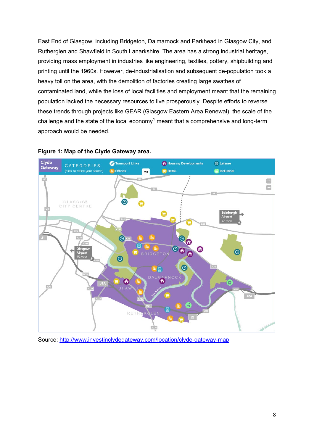East End of Glasgow, including Bridgeton, Dalmarnock and Parkhead in Glasgow City, and Rutherglen and Shawfield in South Lanarkshire. The area has a strong industrial heritage, providing mass employment in industries like engineering, textiles, pottery, shipbuilding and printing until the 1960s. However, de-industrialisation and subsequent de-population took a heavy toll on the area, with the demolition of factories creating large swathes of contaminated land, while the loss of local facilities and employment meant that the remaining population lacked the necessary resources to live prosperously. Despite efforts to reverse these trends through projects like GEAR (Glasgow Eastern Area Renewal), the scale of the challenge and the state of the local economy<sup>[1](#page-2-0)</sup> meant that a comprehensive and long-term approach would be needed.



#### **Figure 1: Map of the Clyde Gateway area.**

Source: <http://www.investinclydegateway.com/location/clyde-gateway-map>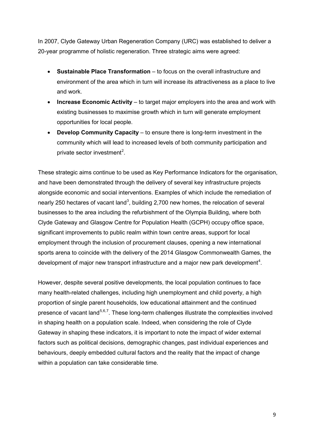In 2007, Clyde Gateway Urban Regeneration Company (URC) was established to deliver a 20-year programme of holistic regeneration. Three strategic aims were agreed:

- **Sustainable Place Transformation** to focus on the overall infrastructure and environment of the area which in turn will increase its attractiveness as a place to live and work.
- **Increase Economic Activity** to target major employers into the area and work with existing businesses to maximise growth which in turn will generate employment opportunities for local people.
- **Develop Community Capacity** to ensure there is long-term investment in the community which will lead to increased levels of both community participation and private sector investment<sup>[2](#page-2-1)</sup>.

These strategic aims continue to be used as Key Performance Indicators for the organisation, and have been demonstrated through the delivery of several key infrastructure projects alongside economic and social interventions. Examples of which include the remediation of nearly 250 hectares of vacant land<sup>[3](#page-2-2)</sup>, building 2,700 new homes, the relocation of several businesses to the area including the refurbishment of the Olympia Building, where both Clyde Gateway and Glasgow Centre for Population Health (GCPH) occupy office space, significant improvements to public realm within town centre areas, support for local employment through the inclusion of procurement clauses, opening a new international sports arena to coincide with the delivery of the 2014 Glasgow Commonwealth Games, the development of major new transport infrastructure and a major new park development<sup>[4](#page-2-3)</sup>.

However, despite several positive developments, the local population continues to face many health-related challenges, including high unemployment and child poverty, a high proportion of single parent households, low educational attainment and the continued presence of vacant land<sup>[5](#page-2-4),[6](#page-2-5),[7](#page-2-6)</sup>. These long-term challenges illustrate the complexities involved in shaping health on a population scale. Indeed, when considering the role of Clyde Gateway in shaping these indicators, it is important to note the impact of wider external factors such as political decisions, demographic changes, past individual experiences and behaviours, deeply embedded cultural factors and the reality that the impact of change within a population can take considerable time.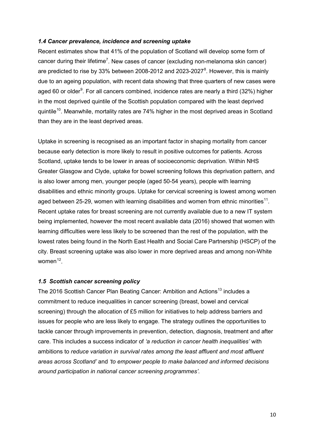#### *1.4 Cancer prevalence, incidence and screening uptake*

Recent estimates show that 41% of the population of Scotland will develop some form of cancer during their lifetime<sup>7</sup>. New cases of cancer (excluding non-melanoma skin cancer) are predicted to rise by 33% between 200[8](#page-2-7)-2012 and 2023-2027 $^8$ . However, this is mainly due to an ageing population, with recent data showing that three quarters of new cases were aged 60 or older<sup>[9](#page-2-8)</sup>. For all cancers combined, incidence rates are nearly a third (32%) higher in the most deprived quintile of the Scottish population compared with the least deprived quintile<sup>[10](#page-2-9)</sup>. Meanwhile, mortality rates are 74% higher in the most deprived areas in Scotland than they are in the least deprived areas.

Uptake in screening is recognised as an important factor in shaping mortality from cancer because early detection is more likely to result in positive outcomes for patients. Across Scotland, uptake tends to be lower in areas of socioeconomic deprivation. Within NHS Greater Glasgow and Clyde, uptake for bowel screening follows this deprivation pattern, and is also lower among men, younger people (aged 50-54 years), people with learning disabilities and ethnic minority groups. Uptake for cervical screening is lowest among women aged between 25-29, women with learning disabilities and women from ethnic minorities<sup>[11](#page-2-10)</sup>. Recent uptake rates for breast screening are not currently available due to a new IT system being implemented, however the most recent available data (2016) showed that women with learning difficulties were less likely to be screened than the rest of the population, with the lowest rates being found in the North East Health and Social Care Partnership (HSCP) of the city. Breast screening uptake was also lower in more deprived areas and among non-White women $12$ .

# *1.5 Scottish cancer screening policy*

The 2016 Scottish Cancer Plan Beating Cancer: Ambition and Actions<sup>[13](#page-2-12)</sup> includes a commitment to reduce inequalities in cancer screening (breast, bowel and cervical screening) through the allocation of £5 million for initiatives to help address barriers and issues for people who are less likely to engage. The strategy outlines the opportunities to tackle cancer through improvements in prevention, detection, diagnosis, treatment and after care. This includes a success indicator of *'a reduction in cancer health inequalities'* with ambitions to *reduce variation in survival rates among the least affluent and most affluent areas across Scotland'* and *'to empower people to make balanced and informed decisions around participation in national cancer screening programmes'*.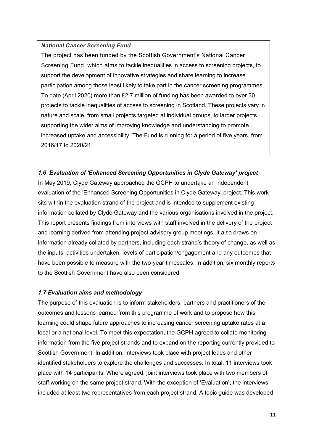#### *National Cancer Screening Fund*

The project has been funded by the Scottish Government's National Cancer Screening Fund, which aims to tackle inequalities in access to screening projects, to support the development of innovative strategies and share learning to increase participation among those least likely to take part in the cancer screening programmes. To date (April 2020) more than £2.7 million of funding has been awarded to over 30 projects to tackle inequalities of access to screening in Scotland. These projects vary in nature and scale, from small projects targeted at individual groups, to larger projects supporting the wider aims of improving knowledge and understanding to promote increased uptake and accessibility. The Fund is running for a period of five years, from 2016/17 to 2020/21.

# *1.6 Evaluation of 'Enhanced Screening Opportunities in Clyde Gateway' project*

In May 2019, Clyde Gateway approached the GCPH to undertake an independent evaluation of the 'Enhanced Screening Opportunities in Clyde Gateway' project. This work sits within the evaluation strand of the project and is intended to supplement existing information collated by Clyde Gateway and the various organisations involved in the project. This report presents findings from interviews with staff involved in the delivery of the project and learning derived from attending project advisory group meetings. It also draws on information already collated by partners, including each strand's theory of change, as well as the inputs, activities undertaken, levels of participation/engagement and any outcomes that have been possible to measure with the two-year timescales. In addition, six monthly reports to the Scottish Government have also been considered.

#### *1.7 Evaluation aims and methodology*

The purpose of this evaluation is to inform stakeholders, partners and practitioners of the outcomes and lessons learned from this programme of work and to propose how this learning could shape future approaches to increasing cancer screening uptake rates at a local or a national level. To meet this expectation, the GCPH agreed to collate monitoring information from the five project strands and to expand on the reporting currently provided to Scottish Government. In addition, interviews took place with project leads and other identified stakeholders to explore the challenges and successes. In total, 11 interviews took place with 14 participants. Where agreed, joint interviews took place with two members of staff working on the same project strand. With the exception of 'Evaluation', the interviews included at least two representatives from each project strand. A topic guide was developed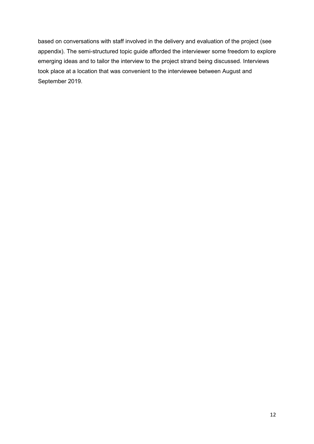based on conversations with staff involved in the delivery and evaluation of the project (see appendix). The semi-structured topic guide afforded the interviewer some freedom to explore emerging ideas and to tailor the interview to the project strand being discussed. Interviews took place at a location that was convenient to the interviewee between August and September 2019.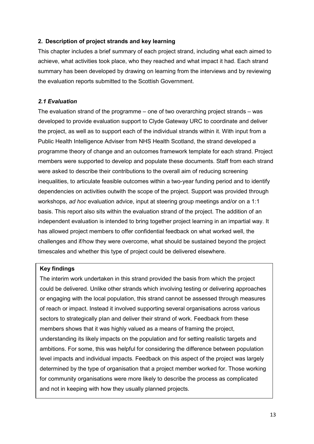# **2. Description of project strands and key learning**

This chapter includes a brief summary of each project strand, including what each aimed to achieve, what activities took place, who they reached and what impact it had. Each strand summary has been developed by drawing on learning from the interviews and by reviewing the evaluation reports submitted to the Scottish Government.

# *2.1 Evaluation*

The evaluation strand of the programme – one of two overarching project strands – was developed to provide evaluation support to Clyde Gateway URC to coordinate and deliver the project, as well as to support each of the individual strands within it. With input from a Public Health Intelligence Adviser from NHS Health Scotland, the strand developed a programme theory of change and an outcomes framework template for each strand. Project members were supported to develop and populate these documents. Staff from each strand were asked to describe their contributions to the overall aim of reducing screening inequalities, to articulate feasible outcomes within a two-year funding period and to identify dependencies on activities outwith the scope of the project. Support was provided through workshops, *ad hoc* evaluation advice, input at steering group meetings and/or on a 1:1 basis. This report also sits within the evaluation strand of the project. The addition of an independent evaluation is intended to bring together project learning in an impartial way. It has allowed project members to offer confidential feedback on what worked well, the challenges and if/how they were overcome, what should be sustained beyond the project timescales and whether this type of project could be delivered elsewhere.

# **Key findings**

The interim work undertaken in this strand provided the basis from which the project could be delivered. Unlike other strands which involving testing or delivering approaches or engaging with the local population, this strand cannot be assessed through measures of reach or impact. Instead it involved supporting several organisations across various sectors to strategically plan and deliver their strand of work. Feedback from these members shows that it was highly valued as a means of framing the project, understanding its likely impacts on the population and for setting realistic targets and ambitions. For some, this was helpful for considering the difference between population level impacts and individual impacts. Feedback on this aspect of the project was largely determined by the type of organisation that a project member worked for. Those working for community organisations were more likely to describe the process as complicated and not in keeping with how they usually planned projects.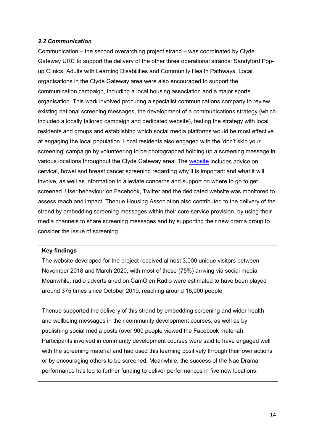# *2.2 Communication*

Communication – the second overarching project strand – was coordinated by Clyde Gateway URC to support the delivery of the other three operational strands: Sandyford Popup Clinics, Adults with Learning Disabilities and Community Health Pathways. Local organisations in the Clyde Gateway area were also encouraged to support the communication campaign, including a local housing association and a major sports organisation. This work involved procuring a specialist communications company to review existing national screening messages, the development of a communications strategy (which included a locally tailored campaign and dedicated website), testing the strategy with local residents and groups and establishing which social media platforms would be most effective at engaging the local population. Local residents also engaged with the 'don't skip your screening' campaign by volunteering to be photographed holding up a screening message in various locations throughout the Clyde Gateway area. The [website](https://www.dontskipyourscreening.co.uk/) includes advice on cervical, bowel and breast cancer screening regarding why it is important and what it will involve, as well as information to alleviate concerns and support on where to go to get screened. User behaviour on Facebook, Twitter and the dedicated website was monitored to assess reach and impact. Thenue Housing Association also contributed to the delivery of the strand by embedding screening messages within their core service provision, by using their media channels to share screening messages and by supporting their new drama group to consider the issue of screening.

#### **Key findings**

The website developed for the project received almost 3,000 unique visitors between November 2018 and March 2020, with most of these (75%) arriving via social media. Meanwhile, radio adverts aired on CamGlen Radio were estimated to have been played around 375 times since October 2019, reaching around 16,000 people.

Thenue supported the delivery of this strand by embedding screening and wider health and wellbeing messages in their community development courses, as well as by publishing social media posts (over 900 people viewed the Facebook material). Participants involved in community development courses were said to have engaged well with the screening material and had used this learning positively through their own actions or by encouraging others to be screened. Meanwhile, the success of the Nae Drama performance has led to further funding to deliver performances in five new locations.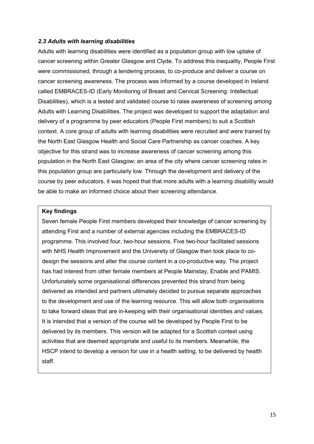#### *2.3 Adults with learning disabilities*

Adults with learning disabilities were identified as a population group with low uptake of cancer screening within Greater Glasgow and Clyde. To address this inequality, People First were commissioned, through a tendering process, to co-produce and deliver a course on cancer screening awareness. The process was informed by a course developed in Ireland called EMBRACES-ID (Early Monitoring of Breast and Cervical Screening: Intellectual Disabilities), which is a tested and validated course to raise awareness of screening among Adults with Learning Disabilities. The project was developed to support the adaptation and delivery of a programme by peer educators (People First members) to suit a Scottish context. A core group of adults with learning disabilities were recruited and were trained by the North East Glasgow Health and Social Care Partnership as cancer coaches. A key objective for this strand was to increase awareness of cancer screening among this population in the North East Glasgow; an area of the city where cancer screening rates in this population group are particularly low. Through the development and delivery of the course by peer educators, it was hoped that that more adults with a learning disability would be able to make an informed choice about their screening attendance.

#### **Key findings**

Seven female People First members developed their knowledge of cancer screening by attending First and a number of external agencies including the EMBRACES-ID programme. This involved four, two-hour sessions. Five two-hour facilitated sessions with NHS Health Improvement and the University of Glasgow then took place to codesign the sessions and alter the course content in a co-productive way. The project has had interest from other female members at People Mainstay, Enable and PAMIS. Unfortunately some organisational differences prevented this strand from being delivered as intended and partners ultimately decided to pursue separate approaches to the development and use of the learning resource. This will allow both organisations to take forward ideas that are in-keeping with their organisational identities and values. It is intended that a version of the course will be developed by People First to be delivered by its members. This version will be adapted for a Scottish context using activities that are deemed appropriate and useful to its members. Meanwhile, the HSCP intend to develop a version for use in a health setting, to be delivered by health staff.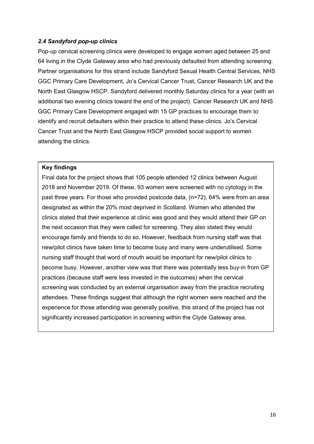# *2.4 Sandyford pop-up clinics*

Pop-up cervical screening clinics were developed to engage women aged between 25 and 64 living in the Clyde Gateway area who had previously defaulted from attending screening. Partner organisations for this strand include Sandyford Sexual Health Central Services, NHS GGC Primary Care Development, Jo's Cervical Cancer Trust, Cancer Research UK and the North East Glasgow HSCP. Sandyford delivered monthly Saturday clinics for a year (with an additional two evening clinics toward the end of the project). Cancer Research UK and NHS GGC Primary Care Development engaged with 15 GP practices to encourage them to identify and recruit defaulters within their practice to attend these clinics. Jo's Cervical Cancer Trust and the North East Glasgow HSCP provided social support to women attending the clinics.

# **Key findings**

Final data for the project shows that 105 people attended 12 clinics between August 2018 and November 2019. Of these, 93 women were screened with no cytology in the past three years. For those who provided postcode data, (n=72), 64% were from an area designated as within the 20% most deprived in Scotland. Women who attended the clinics stated that their experience at clinic was good and they would attend their GP on the next occasion that they were called for screening. They also stated they would encourage family and friends to do so. However, feedback from nursing staff was that new/pilot clinics have taken time to become busy and many were underutilised. Some nursing staff thought that word of mouth would be important for new/pilot clinics to become busy. However, another view was that there was potentially less buy-in from GP practices (because staff were less invested in the outcomes) when the cervical screening was conducted by an external organisation away from the practice recruiting attendees. These findings suggest that although the right women were reached and the experience for those attending was generally positive, this strand of the project has not significantly increased participation in screening within the Clyde Gateway area.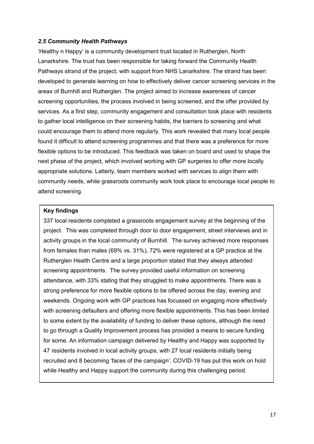#### *2.5 Community Health Pathways*

'Healthy n Happy' is a community development trust located in Rutherglen, North Lanarkshire. The trust has been responsible for taking forward the Community Health Pathways strand of the project, with support from NHS Lanarkshire. The strand has been developed to generate learning on how to effectively deliver cancer screening services in the areas of Burnhill and Rutherglen. The project aimed to increase awareness of cancer screening opportunities, the process involved in being screened, and the offer provided by services. As a first step, community engagement and consultation took place with residents to gather local intelligence on their screening habits, the barriers to screening and what could encourage them to attend more regularly. This work revealed that many local people found it difficult to attend screening programmes and that there was a preference for more flexible options to be introduced. This feedback was taken on board and used to shape the next phase of the project, which involved working with GP surgeries to offer more locally appropriate solutions. Latterly, team members worked with services to align them with community needs, while grassroots community work took place to encourage local people to attend screening.

#### **Key findings**

337 local residents completed a grassroots engagement survey at the beginning of the project. This was completed through door to door engagement, street interviews and in activity groups in the local community of Burnhill. The survey achieved more responses from females than males (69% vs. 31%), 72% were registered at a GP practice at the Rutherglen Health Centre and a large proportion stated that they always attended screening appointments. The survey provided useful information on screening attendance, with 33% stating that they struggled to make appointments. There was a strong preference for more flexible options to be offered across the day, evening and weekends. Ongoing work with GP practices has focussed on engaging more effectively with screening defaulters and offering more flexible appointments. This has been limited to some extent by the availability of funding to deliver these options, although the need to go through a Quality Improvement process has provided a means to secure funding for some. An information campaign delivered by Healthy and Happy was supported by 47 residents involved in local activity groups, with 27 local residents initially being recruited and 8 becoming 'faces of the campaign'. COVID-19 has put this work on hold while Healthy and Happy support the community during this challenging period.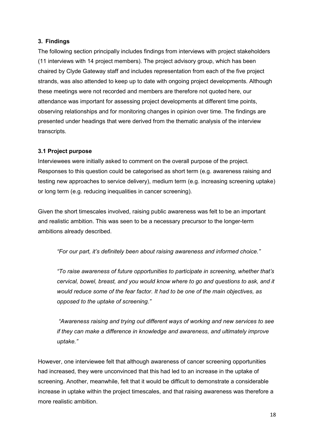# **3. Findings**

The following section principally includes findings from interviews with project stakeholders (11 interviews with 14 project members). The project advisory group, which has been chaired by Clyde Gateway staff and includes representation from each of the five project strands, was also attended to keep up to date with ongoing project developments. Although these meetings were not recorded and members are therefore not quoted here, our attendance was important for assessing project developments at different time points, observing relationships and for monitoring changes in opinion over time. The findings are presented under headings that were derived from the thematic analysis of the interview transcripts.

# **3.1 Project purpose**

Interviewees were initially asked to comment on the overall purpose of the project. Responses to this question could be categorised as short term (e.g. awareness raising and testing new approaches to service delivery), medium term (e.g. increasing screening uptake) or long term (e.g. reducing inequalities in cancer screening).

Given the short timescales involved, raising public awareness was felt to be an important and realistic ambition. This was seen to be a necessary precursor to the longer-term ambitions already described.

*"For our part, it's definitely been about raising awareness and informed choice."*

*"To raise awareness of future opportunities to participate in screening, whether that's cervical, bowel, breast, and you would know where to go and questions to ask, and it would reduce some of the fear factor. It had to be one of the main objectives, as opposed to the uptake of screening."*

*"Awareness raising and trying out different ways of working and new services to see if they can make a difference in knowledge and awareness, and ultimately improve uptake."*

However, one interviewee felt that although awareness of cancer screening opportunities had increased, they were unconvinced that this had led to an increase in the uptake of screening. Another, meanwhile, felt that it would be difficult to demonstrate a considerable increase in uptake within the project timescales, and that raising awareness was therefore a more realistic ambition.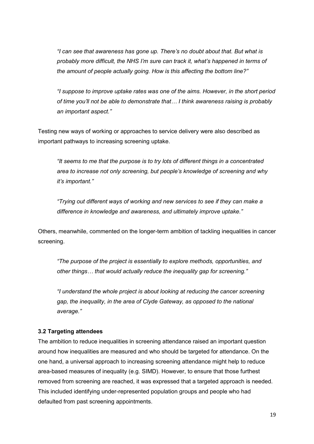*"I can see that awareness has gone up. There's no doubt about that. But what is probably more difficult, the NHS I'm sure can track it, what's happened in terms of the amount of people actually going. How is this affecting the bottom line?"*

*"I suppose to improve uptake rates was one of the aims. However, in the short period of time you'll not be able to demonstrate that… I think awareness raising is probably an important aspect."*

Testing new ways of working or approaches to service delivery were also described as important pathways to increasing screening uptake.

*"It seems to me that the purpose is to try lots of different things in a concentrated area to increase not only screening, but people's knowledge of screening and why it's important."*

*"Trying out different ways of working and new services to see if they can make a difference in knowledge and awareness, and ultimately improve uptake."*

Others, meanwhile, commented on the longer-term ambition of tackling inequalities in cancer screening.

*"The purpose of the project is essentially to explore methods, opportunities, and other things… that would actually reduce the inequality gap for screening."*

*"I understand the whole project is about looking at reducing the cancer screening gap, the inequality, in the area of Clyde Gateway, as opposed to the national average."*

# **3.2 Targeting attendees**

The ambition to reduce inequalities in screening attendance raised an important question around how inequalities are measured and who should be targeted for attendance. On the one hand, a universal approach to increasing screening attendance might help to reduce area-based measures of inequality (e.g. SIMD). However, to ensure that those furthest removed from screening are reached, it was expressed that a targeted approach is needed. This included identifying under-represented population groups and people who had defaulted from past screening appointments.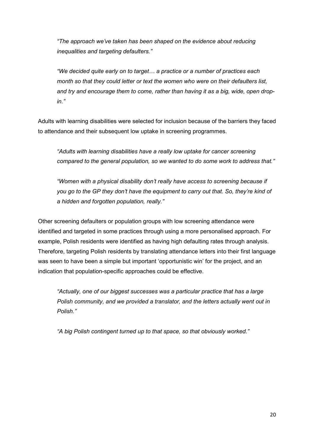*"The approach we've taken has been shaped on the evidence about reducing inequalities and targeting defaulters."*

*"We decided quite early on to target… a practice or a number of practices each month so that they could letter or text the women who were on their defaulters list, and try and encourage them to come, rather than having it as a big, wide, open dropin."*

Adults with learning disabilities were selected for inclusion because of the barriers they faced to attendance and their subsequent low uptake in screening programmes.

*"Adults with learning disabilities have a really low uptake for cancer screening compared to the general population, so we wanted to do some work to address that."*

*"Women with a physical disability don't really have access to screening because if you go to the GP they don't have the equipment to carry out that. So, they're kind of a hidden and forgotten population, really."*

Other screening defaulters or population groups with low screening attendance were identified and targeted in some practices through using a more personalised approach. For example, Polish residents were identified as having high defaulting rates through analysis. Therefore, targeting Polish residents by translating attendance letters into their first language was seen to have been a simple but important 'opportunistic win' for the project, and an indication that population-specific approaches could be effective.

*"Actually, one of our biggest successes was a particular practice that has a large Polish community, and we provided a translator, and the letters actually went out in Polish."*

*"A big Polish contingent turned up to that space, so that obviously worked."*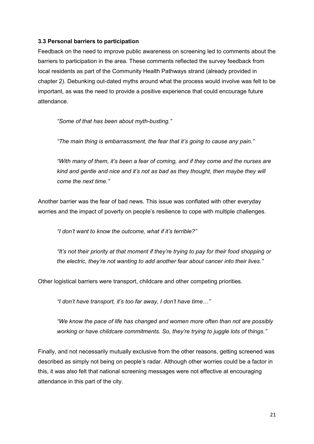# **3.3 Personal barriers to participation**

Feedback on the need to improve public awareness on screening led to comments about the barriers to participation in the area. These comments reflected the survey feedback from local residents as part of the Community Health Pathways strand (already provided in chapter 2). Debunking out-dated myths around what the process would involve was felt to be important, as was the need to provide a positive experience that could encourage future attendance.

*"Some of that has been about myth-busting."*

*"The main thing is embarrassment, the fear that it's going to cause any pain."*

*"With many of them, it's been a fear of coming, and if they come and the nurses are kind and gentle and nice and it's not as bad as they thought, then maybe they will come the next time."*

Another barrier was the fear of bad news. This issue was conflated with other everyday worries and the impact of poverty on people's resilience to cope with multiple challenges.

*"I don't want to know the outcome, what if it's terrible?"*

*"It's not their priority at that moment if they're trying to pay for their food shopping or the electric, they're not wanting to add another fear about cancer into their lives."*

Other logistical barriers were transport, childcare and other competing priorities.

*"I don't have transport, it's too far away, I don't have time…"* 

*"We know the pace of life has changed and women more often than not are possibly working or have childcare commitments. So, they're trying to juggle lots of things."*

Finally, and not necessarily mutually exclusive from the other reasons, getting screened was described as simply not being on people's radar. Although other worries could be a factor in this, it was also felt that national screening messages were not effective at encouraging attendance in this part of the city.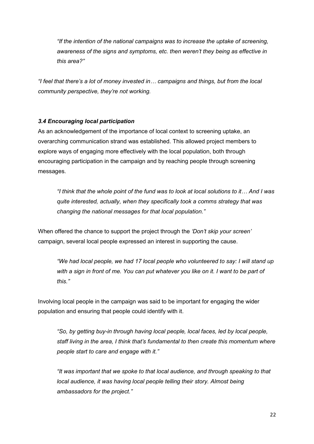*"If the intention of the national campaigns was to increase the uptake of screening, awareness of the signs and symptoms, etc. then weren't they being as effective in this area?"*

*"I feel that there's a lot of money invested in… campaigns and things, but from the local community perspective, they're not working.*

# *3.4 Encouraging local participation*

As an acknowledgement of the importance of local context to screening uptake, an overarching communication strand was established. This allowed project members to explore ways of engaging more effectively with the local population, both through encouraging participation in the campaign and by reaching people through screening messages.

*"I think that the whole point of the fund was to look at local solutions to it… And I was quite interested, actually, when they specifically took a comms strategy that was changing the national messages for that local population."*

When offered the chance to support the project through the *'Don't skip your screen'*  campaign, several local people expressed an interest in supporting the cause.

*"We had local people, we had 17 local people who volunteered to say: I will stand up*  with a sign in front of me. You can put whatever you like on it. I want to be part of *this."*

Involving local people in the campaign was said to be important for engaging the wider population and ensuring that people could identify with it.

*"So, by getting buy-in through having local people, local faces, led by local people, staff living in the area, I think that's fundamental to then create this momentum where people start to care and engage with it."*

*"It was important that we spoke to that local audience, and through speaking to that local audience, it was having local people telling their story. Almost being ambassadors for the project."*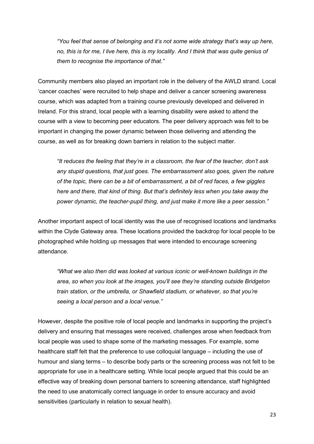*"You feel that sense of belonging and it's not some wide strategy that's way up here, no, this is for me, I live here, this is my locality. And I think that was quite genius of them to recognise the importance of that."*

Community members also played an important role in the delivery of the AWLD strand. Local 'cancer coaches' were recruited to help shape and deliver a cancer screening awareness course, which was adapted from a training course previously developed and delivered in Ireland. For this strand, local people with a learning disability were asked to attend the course with a view to becoming peer educators. The peer delivery approach was felt to be important in changing the power dynamic between those delivering and attending the course, as well as for breaking down barriers in relation to the subject matter.

*"It reduces the feeling that they're in a classroom, the fear of the teacher, don't ask any stupid questions, that just goes. The embarrassment also goes, given the nature of the topic, there can be a bit of embarrassment, a bit of red faces, a few giggles here and there, that kind of thing. But that's definitely less when you take away the power dynamic, the teacher-pupil thing, and just make it more like a peer session."*

Another important aspect of local identity was the use of recognised locations and landmarks within the Clyde Gateway area. These locations provided the backdrop for local people to be photographed while holding up messages that were intended to encourage screening attendance.

*"What we also then did was looked at various iconic or well-known buildings in the area, so when you look at the images, you'll see they're standing outside Bridgeton train station, or the umbrella, or Shawfield stadium, or whatever, so that you're seeing a local person and a local venue."*

However, despite the positive role of local people and landmarks in supporting the project's delivery and ensuring that messages were received, challenges arose when feedback from local people was used to shape some of the marketing messages. For example, some healthcare staff felt that the preference to use colloquial language – including the use of humour and slang terms – to describe body parts or the screening process was not felt to be appropriate for use in a healthcare setting. While local people argued that this could be an effective way of breaking down personal barriers to screening attendance, staff highlighted the need to use anatomically correct language in order to ensure accuracy and avoid sensitivities (particularly in relation to sexual health).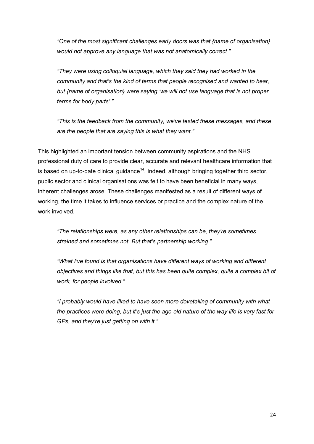*"One of the most significant challenges early doors was that {name of organisation} would not approve any language that was not anatomically correct."*

*"They were using colloquial language, which they said they had worked in the community and that's the kind of terms that people recognised and wanted to hear, but {name of organisation} were saying 'we will not use language that is not proper terms for body parts'."*

*"This is the feedback from the community, we've tested these messages, and these are the people that are saying this is what they want."*

This highlighted an important tension between community aspirations and the NHS professional duty of care to provide clear, accurate and relevant healthcare information that is based on up-to-date clinical guidance<sup>[14](#page-2-13)</sup>. Indeed, although bringing together third sector, public sector and clinical organisations was felt to have been beneficial in many ways, inherent challenges arose. These challenges manifested as a result of different ways of working, the time it takes to influence services or practice and the complex nature of the work involved.

*"The relationships were, as any other relationships can be, they're sometimes strained and sometimes not. But that's partnership working."*

*"What I've found is that organisations have different ways of working and different objectives and things like that, but this has been quite complex, quite a complex bit of work, for people involved."*

*"I probably would have liked to have seen more dovetailing of community with what the practices were doing, but it's just the age-old nature of the way life is very fast for GPs, and they're just getting on with it."*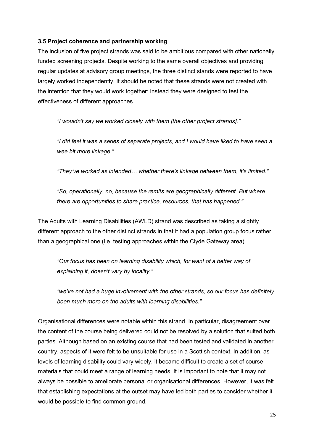# **3.5 Project coherence and partnership working**

The inclusion of five project strands was said to be ambitious compared with other nationally funded screening projects. Despite working to the same overall objectives and providing regular updates at advisory group meetings, the three distinct stands were reported to have largely worked independently. It should be noted that these strands were not created with the intention that they would work together; instead they were designed to test the effectiveness of different approaches.

*"I wouldn't say we worked closely with them [the other project strands]."*

*"I did feel it was a series of separate projects, and I would have liked to have seen a wee bit more linkage."*

*"They've worked as intended… whether there's linkage between them, it's limited."*

*"So, operationally, no, because the remits are geographically different. But where there are opportunities to share practice, resources, that has happened."*

The Adults with Learning Disabilities (AWLD) strand was described as taking a slightly different approach to the other distinct strands in that it had a population group focus rather than a geographical one (i.e. testing approaches within the Clyde Gateway area).

*"Our focus has been on learning disability which, for want of a better way of explaining it, doesn't vary by locality."*

*"we've not had a huge involvement with the other strands, so our focus has definitely been much more on the adults with learning disabilities."*

Organisational differences were notable within this strand. In particular, disagreement over the content of the course being delivered could not be resolved by a solution that suited both parties. Although based on an existing course that had been tested and validated in another country, aspects of it were felt to be unsuitable for use in a Scottish context. In addition, as levels of learning disability could vary widely, it became difficult to create a set of course materials that could meet a range of learning needs. It is important to note that it may not always be possible to ameliorate personal or organisational differences. However, it was felt that establishing expectations at the outset may have led both parties to consider whether it would be possible to find common ground.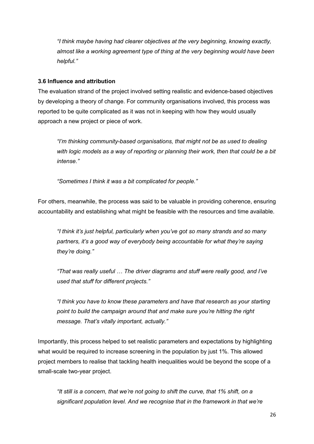*"I think maybe having had clearer objectives at the very beginning, knowing exactly, almost like a working agreement type of thing at the very beginning would have been helpful."*

# **3.6 Influence and attribution**

The evaluation strand of the project involved setting realistic and evidence-based objectives by developing a theory of change. For community organisations involved, this process was reported to be quite complicated as it was not in keeping with how they would usually approach a new project or piece of work.

*"I'm thinking community-based organisations, that might not be as used to dealing with logic models as a way of reporting or planning their work, then that could be a bit intense."*

*"Sometimes I think it was a bit complicated for people."*

For others, meanwhile, the process was said to be valuable in providing coherence, ensuring accountability and establishing what might be feasible with the resources and time available.

*"I think it's just helpful, particularly when you've got so many strands and so many partners, it's a good way of everybody being accountable for what they're saying they're doing."*

*"That was really useful … The driver diagrams and stuff were really good, and I've used that stuff for different projects."*

*"I think you have to know these parameters and have that research as your starting point to build the campaign around that and make sure you're hitting the right message. That's vitally important, actually."*

Importantly, this process helped to set realistic parameters and expectations by highlighting what would be required to increase screening in the population by just 1%. This allowed project members to realise that tackling health inequalities would be beyond the scope of a small-scale two-year project.

*"It still is a concern, that we're not going to shift the curve, that 1% shift, on a significant population level. And we recognise that in the framework in that we're*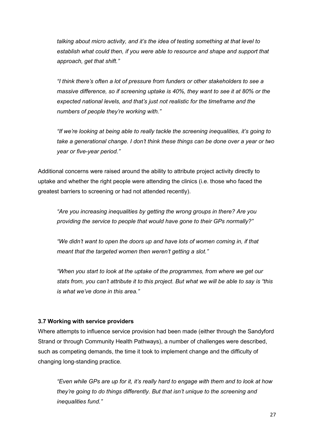*talking about micro activity, and it's the idea of testing something at that level to establish what could then, if you were able to resource and shape and support that approach, get that shift."*

*"I think there's often a lot of pressure from funders or other stakeholders to see a massive difference, so if screening uptake is 40%, they want to see it at 80% or the expected national levels, and that's just not realistic for the timeframe and the numbers of people they're working with."*

*"If we're looking at being able to really tackle the screening inequalities, it's going to take a generational change. I don't think these things can be done over a year or two year or five-year period."*

Additional concerns were raised around the ability to attribute project activity directly to uptake and whether the right people were attending the clinics (i.e. those who faced the greatest barriers to screening or had not attended recently).

*"Are you increasing inequalities by getting the wrong groups in there? Are you providing the service to people that would have gone to their GPs normally?"*

*"We didn't want to open the doors up and have lots of women coming in, if that meant that the targeted women then weren't getting a slot."*

*"When you start to look at the uptake of the programmes, from where we get our stats from, you can't attribute it to this project. But what we will be able to say is "this is what we've done in this area."*

# **3.7 Working with service providers**

Where attempts to influence service provision had been made (either through the Sandyford Strand or through Community Health Pathways), a number of challenges were described, such as competing demands, the time it took to implement change and the difficulty of changing long-standing practice.

*"Even while GPs are up for it, it's really hard to engage with them and to look at how they're going to do things differently. But that isn't unique to the screening and inequalities fund."*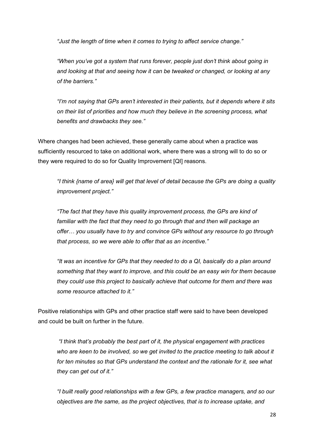*"Just the length of time when it comes to trying to affect service change."*

*"When you've got a system that runs forever, people just don't think about going in and looking at that and seeing how it can be tweaked or changed, or looking at any of the barriers."*

*"I'm not saying that GPs aren't interested in their patients, but it depends where it sits on their list of priorities and how much they believe in the screening process, what benefits and drawbacks they see."*

Where changes had been achieved, these generally came about when a practice was sufficiently resourced to take on additional work, where there was a strong will to do so or they were required to do so for Quality Improvement [QI] reasons.

*"I think {name of area} will get that level of detail because the GPs are doing a quality improvement project."*

*"The fact that they have this quality improvement process, the GPs are kind of familiar with the fact that they need to go through that and then will package an offer… you usually have to try and convince GPs without any resource to go through that process, so we were able to offer that as an incentive."*

*"It was an incentive for GPs that they needed to do a QI, basically do a plan around something that they want to improve, and this could be an easy win for them because they could use this project to basically achieve that outcome for them and there was some resource attached to it."*

Positive relationships with GPs and other practice staff were said to have been developed and could be built on further in the future.

*"I think that's probably the best part of it, the physical engagement with practices who are keen to be involved, so we get invited to the practice meeting to talk about it for ten minutes so that GPs understand the context and the rationale for it, see what they can get out of it."*

*"I built really good relationships with a few GPs, a few practice managers, and so our objectives are the same, as the project objectives, that is to increase uptake, and*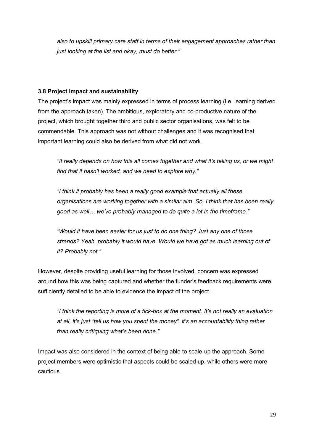*also to upskill primary care staff in terms of their engagement approaches rather than just looking at the list and okay, must do better."*

# **3.8 Project impact and sustainability**

The project's impact was mainly expressed in terms of process learning (i.e. learning derived from the approach taken). The ambitious, exploratory and co-productive nature of the project, which brought together third and public sector organisations, was felt to be commendable. This approach was not without challenges and it was recognised that important learning could also be derived from what did not work.

*"It really depends on how this all comes together and what it's telling us, or we might find that it hasn't worked, and we need to explore why."*

*"I think it probably has been a really good example that actually all these organisations are working together with a similar aim. So, I think that has been really good as well… we've probably managed to do quite a lot in the timeframe."*

*"Would it have been easier for us just to do one thing? Just any one of those strands? Yeah, probably it would have. Would we have got as much learning out of it? Probably not."*

However, despite providing useful learning for those involved, concern was expressed around how this was being captured and whether the funder's feedback requirements were sufficiently detailed to be able to evidence the impact of the project.

*"I think the reporting is more of a tick-box at the moment. It's not really an evaluation at all, it's just "tell us how you spent the money", it's an accountability thing rather than really critiquing what's been done."*

Impact was also considered in the context of being able to scale-up the approach. Some project members were optimistic that aspects could be scaled up, while others were more cautious.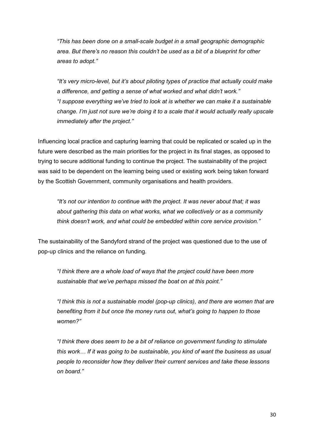*"This has been done on a small-scale budget in a small geographic demographic area. But there's no reason this couldn't be used as a bit of a blueprint for other areas to adopt."*

*"It's very micro-level, but it's about piloting types of practice that actually could make a difference, and getting a sense of what worked and what didn't work." "I suppose everything we've tried to look at is whether we can make it a sustainable change. I'm just not sure we're doing it to a scale that it would actually really upscale immediately after the project."*

Influencing local practice and capturing learning that could be replicated or scaled up in the future were described as the main priorities for the project in its final stages, as opposed to trying to secure additional funding to continue the project. The sustainability of the project was said to be dependent on the learning being used or existing work being taken forward by the Scottish Government, community organisations and health providers.

*"It's not our intention to continue with the project. It was never about that; it was about gathering this data on what works, what we collectively or as a community think doesn't work, and what could be embedded within core service provision."*

The sustainability of the Sandyford strand of the project was questioned due to the use of pop-up clinics and the reliance on funding.

*"I think there are a whole load of ways that the project could have been more sustainable that we've perhaps missed the boat on at this point."*

*"I think this is not a sustainable model (pop-up clinics), and there are women that are benefiting from it but once the money runs out, what's going to happen to those women?"*

*"I think there does seem to be a bit of reliance on government funding to stimulate this work… If it was going to be sustainable, you kind of want the business as usual people to reconsider how they deliver their current services and take these lessons on board."*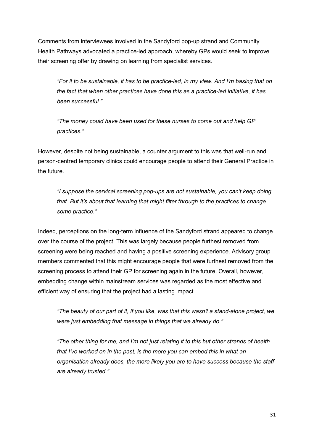Comments from interviewees involved in the Sandyford pop-up strand and Community Health Pathways advocated a practice-led approach, whereby GPs would seek to improve their screening offer by drawing on learning from specialist services.

*"For it to be sustainable, it has to be practice-led, in my view. And I'm basing that on the fact that when other practices have done this as a practice-led initiative, it has been successful."*

*"The money could have been used for these nurses to come out and help GP practices."*

However, despite not being sustainable, a counter argument to this was that well-run and person-centred temporary clinics could encourage people to attend their General Practice in the future.

*"I suppose the cervical screening pop-ups are not sustainable, you can't keep doing that. But it's about that learning that might filter through to the practices to change some practice."*

Indeed, perceptions on the long-term influence of the Sandyford strand appeared to change over the course of the project. This was largely because people furthest removed from screening were being reached and having a positive screening experience. Advisory group members commented that this might encourage people that were furthest removed from the screening process to attend their GP for screening again in the future. Overall, however, embedding change within mainstream services was regarded as the most effective and efficient way of ensuring that the project had a lasting impact.

*"The beauty of our part of it, if you like, was that this wasn't a stand-alone project, we were just embedding that message in things that we already do."*

*"The other thing for me, and I'm not just relating it to this but other strands of health that I've worked on in the past, is the more you can embed this in what an organisation already does, the more likely you are to have success because the staff are already trusted."*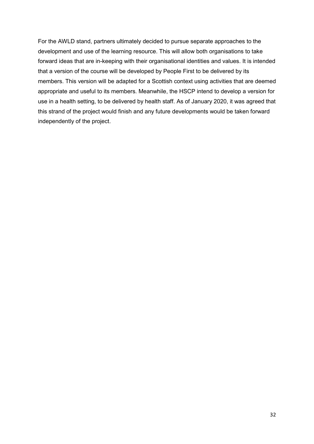For the AWLD stand, partners ultimately decided to pursue separate approaches to the development and use of the learning resource. This will allow both organisations to take forward ideas that are in-keeping with their organisational identities and values. It is intended that a version of the course will be developed by People First to be delivered by its members. This version will be adapted for a Scottish context using activities that are deemed appropriate and useful to its members. Meanwhile, the HSCP intend to develop a version for use in a health setting, to be delivered by health staff. As of January 2020, it was agreed that this strand of the project would finish and any future developments would be taken forward independently of the project.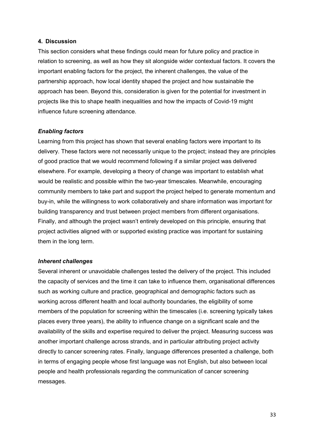#### **4. Discussion**

This section considers what these findings could mean for future policy and practice in relation to screening, as well as how they sit alongside wider contextual factors. It covers the important enabling factors for the project, the inherent challenges, the value of the partnership approach, how local identity shaped the project and how sustainable the approach has been. Beyond this, consideration is given for the potential for investment in projects like this to shape health inequalities and how the impacts of Covid-19 might influence future screening attendance.

#### *Enabling factors*

Learning from this project has shown that several enabling factors were important to its delivery. These factors were not necessarily unique to the project; instead they are principles of good practice that we would recommend following if a similar project was delivered elsewhere. For example, developing a theory of change was important to establish what would be realistic and possible within the two-year timescales. Meanwhile, encouraging community members to take part and support the project helped to generate momentum and buy-in, while the willingness to work collaboratively and share information was important for building transparency and trust between project members from different organisations. Finally, and although the project wasn't entirely developed on this principle, ensuring that project activities aligned with or supported existing practice was important for sustaining them in the long term.

#### *Inherent challenges*

Several inherent or unavoidable challenges tested the delivery of the project. This included the capacity of services and the time it can take to influence them, organisational differences such as working culture and practice, geographical and demographic factors such as working across different health and local authority boundaries, the eligibility of some members of the population for screening within the timescales (i.e. screening typically takes places every three years), the ability to influence change on a significant scale and the availability of the skills and expertise required to deliver the project. Measuring success was another important challenge across strands, and in particular attributing project activity directly to cancer screening rates. Finally, language differences presented a challenge, both in terms of engaging people whose first language was not English, but also between local people and health professionals regarding the communication of cancer screening messages.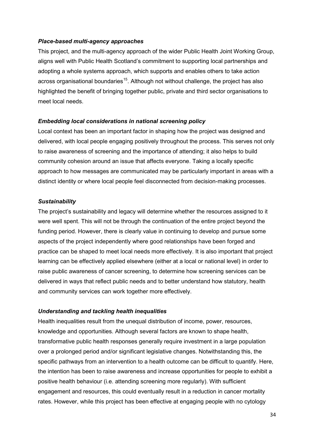#### *Place-based multi-agency approaches*

This project, and the multi-agency approach of the wider Public Health Joint Working Group, aligns well with Public Health Scotland's commitment to supporting local partnerships and adopting a whole systems approach, which supports and enables others to take action across organisational boundaries<sup>15</sup>. Although not without challenge, the project has also highlighted the benefit of bringing together public, private and third sector organisations to meet local needs.

# *Embedding local considerations in national screening policy*

Local context has been an important factor in shaping how the project was designed and delivered, with local people engaging positively throughout the process. This serves not only to raise awareness of screening and the importance of attending; it also helps to build community cohesion around an issue that affects everyone. Taking a locally specific approach to how messages are communicated may be particularly important in areas with a distinct identity or where local people feel disconnected from decision-making processes.

#### *Sustainability*

The project's sustainability and legacy will determine whether the resources assigned to it were well spent. This will not be through the continuation of the entire project beyond the funding period. However, there is clearly value in continuing to develop and pursue some aspects of the project independently where good relationships have been forged and practice can be shaped to meet local needs more effectively. It is also important that project learning can be effectively applied elsewhere (either at a local or national level) in order to raise public awareness of cancer screening, to determine how screening services can be delivered in ways that reflect public needs and to better understand how statutory, health and community services can work together more effectively.

#### *Understanding and tackling health inequalities*

Health inequalities result from the unequal distribution of income, power, resources, knowledge and opportunities. Although several factors are known to shape health, transformative public health responses generally require investment in a large population over a prolonged period and/or significant legislative changes. Notwithstanding this, the specific pathways from an intervention to a health outcome can be difficult to quantify. Here, the intention has been to raise awareness and increase opportunities for people to exhibit a positive health behaviour (i.e. attending screening more regularly). With sufficient engagement and resources, this could eventually result in a reduction in cancer mortality rates. However, while this project has been effective at engaging people with no cytology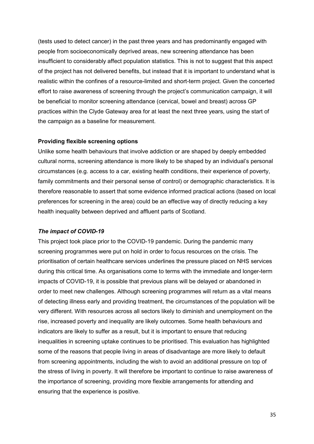(tests used to detect cancer) in the past three years and has predominantly engaged with people from socioeconomically deprived areas, new screening attendance has been insufficient to considerably affect population statistics. This is not to suggest that this aspect of the project has not delivered benefits, but instead that it is important to understand what is realistic within the confines of a resource-limited and short-term project. Given the concerted effort to raise awareness of screening through the project's communication campaign, it will be beneficial to monitor screening attendance (cervical, bowel and breast) across GP practices within the Clyde Gateway area for at least the next three years, using the start of the campaign as a baseline for measurement.

#### **Providing flexible screening options**

Unlike some health behaviours that involve addiction or are shaped by deeply embedded cultural norms, screening attendance is more likely to be shaped by an individual's personal circumstances (e.g. access to a car, existing health conditions, their experience of poverty, family commitments and their personal sense of control) or demographic characteristics. It is therefore reasonable to assert that some evidence informed practical actions (based on local preferences for screening in the area) could be an effective way of directly reducing a key health inequality between deprived and affluent parts of Scotland.

#### *The impact of COVID-19*

This project took place prior to the COVID-19 pandemic. During the pandemic many screening programmes were put on hold in order to focus resources on the crisis. The prioritisation of certain healthcare services underlines the pressure placed on NHS services during this critical time. As organisations come to terms with the immediate and longer-term impacts of COVID-19, it is possible that previous plans will be delayed or abandoned in order to meet new challenges. Although screening programmes will return as a vital means of detecting illness early and providing treatment, the circumstances of the population will be very different. With resources across all sectors likely to diminish and unemployment on the rise, increased poverty and inequality are likely outcomes. Some health behaviours and indicators are likely to suffer as a result, but it is important to ensure that reducing inequalities in screening uptake continues to be prioritised. This evaluation has highlighted some of the reasons that people living in areas of disadvantage are more likely to default from screening appointments, including the wish to avoid an additional pressure on top of the stress of living in poverty. It will therefore be important to continue to raise awareness of the importance of screening, providing more flexible arrangements for attending and ensuring that the experience is positive.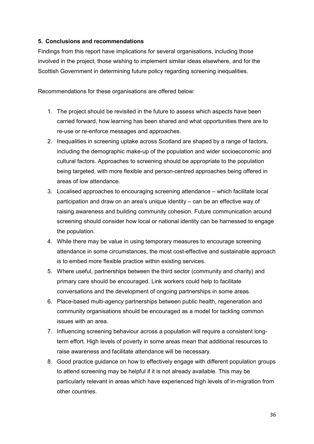# **5. Conclusions and recommendations**

Findings from this report have implications for several organisations, including those involved in the project, those wishing to implement similar ideas elsewhere, and for the Scottish Government in determining future policy regarding screening inequalities.

Recommendations for these organisations are offered below:

- 1. The project should be revisited in the future to assess which aspects have been carried forward, how learning has been shared and what opportunities there are to re-use or re-enforce messages and approaches.
- 2. Inequalities in screening uptake across Scotland are shaped by a range of factors, including the demographic make-up of the population and wider socioeconomic and cultural factors. Approaches to screening should be appropriate to the population being targeted, with more flexible and person-centred approaches being offered in areas of low attendance.
- 3. Localised approaches to encouraging screening attendance which facilitate local participation and draw on an area's unique identity – can be an effective way of raising awareness and building community cohesion. Future communication around screening should consider how local or national identity can be harnessed to engage the population.
- 4. While there may be value in using temporary measures to encourage screening attendance in some circumstances, the most cost-effective and sustainable approach is to embed more flexible practice within existing services.
- 5. Where useful, partnerships between the third sector (community and charity) and primary care should be encouraged. Link workers could help to facilitate conversations and the development of ongoing partnerships in some areas.
- 6. Place-based multi-agency partnerships between public health, regeneration and community organisations should be encouraged as a model for tackling common issues with an area.
- 7. Influencing screening behaviour across a population will require a consistent longterm effort. High levels of poverty in some areas mean that additional resources to raise awareness and facilitate attendance will be necessary.
- 8. Good practice guidance on how to effectively engage with different population groups to attend screening may be helpful if it is not already available. This may be particularly relevant in areas which have experienced high levels of in-migration from other countries.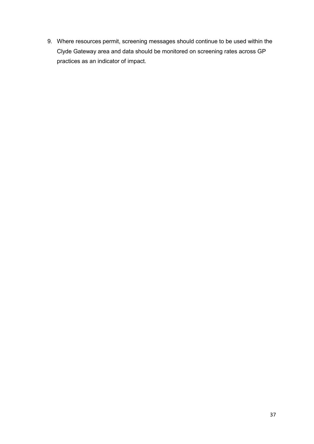9. Where resources permit, screening messages should continue to be used within the Clyde Gateway area and data should be monitored on screening rates across GP practices as an indicator of impact.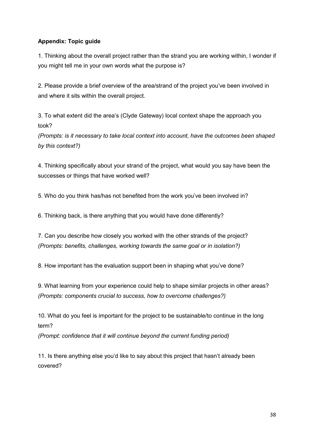# **Appendix: Topic guide**

1. Thinking about the overall project rather than the strand you are working within, I wonder if you might tell me in your own words what the purpose is?

2. Please provide a brief overview of the area/strand of the project you've been involved in and where it sits within the overall project.

3. To what extent did the area's (Clyde Gateway) local context shape the approach you took?

*(Prompts: is it necessary to take local context into account, have the outcomes been shaped by this context?)*

4. Thinking specifically about your strand of the project, what would you say have been the successes or things that have worked well?

5. Who do you think has/has not benefited from the work you've been involved in?

6. Thinking back, is there anything that you would have done differently?

7. Can you describe how closely you worked with the other strands of the project? *(Prompts: benefits, challenges, working towards the same goal or in isolation?)*

8. How important has the evaluation support been in shaping what you've done?

9. What learning from your experience could help to shape similar projects in other areas? *(Prompts: components crucial to success, how to overcome challenges?)*

10. What do you feel is important for the project to be sustainable/to continue in the long term?

*(Prompt: confidence that it will continue beyond the current funding period)*

11. Is there anything else you'd like to say about this project that hasn't already been covered?